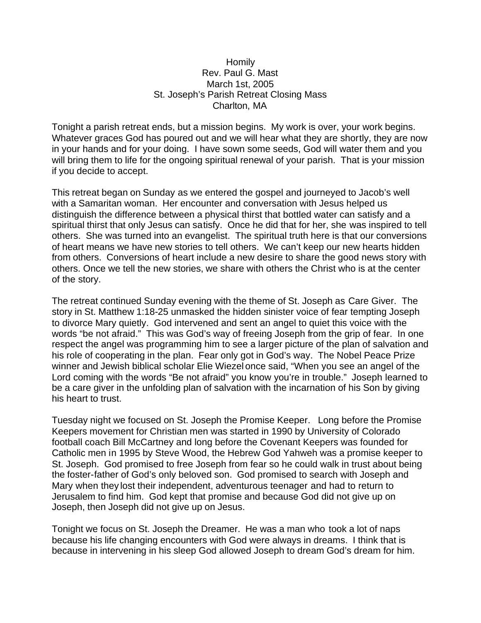## **Homily** Rev. Paul G. Mast March 1st, 2005 St. Joseph's Parish Retreat Closing Mass Charlton, MA

Tonight a parish retreat ends, but a mission begins. My work is over, your work begins. Whatever graces God has poured out and we will hear what they are shortly, they are now in your hands and for your doing. I have sown some seeds, God will water them and you will bring them to life for the ongoing spiritual renewal of your parish. That is your mission if you decide to accept.

This retreat began on Sunday as we entered the gospel and journeyed to Jacob's well with a Samaritan woman. Her encounter and conversation with Jesus helped us distinguish the difference between a physical thirst that bottled water can satisfy and a spiritual thirst that only Jesus can satisfy. Once he did that for her, she was inspired to tell others. She was turned into an evangelist. The spiritual truth here is that our conversions of heart means we have new stories to tell others. We can't keep our new hearts hidden from others. Conversions of heart include a new desire to share the good news story with others. Once we tell the new stories, we share with others the Christ who is at the center of the story.

The retreat continued Sunday evening with the theme of St. Joseph as Care Giver. The story in St. Matthew 1:18-25 unmasked the hidden sinister voice of fear tempting Joseph to divorce Mary quietly. God intervened and sent an angel to quiet this voice with the words "be not afraid." This was God's way of freeing Joseph from the grip of fear. In one respect the angel was programming him to see a larger picture of the plan of salvation and his role of cooperating in the plan. Fear only got in God's way. The Nobel Peace Prize winner and Jewish biblical scholar Elie Wiezel once said, "When you see an angel of the Lord coming with the words "Be not afraid" you know you're in trouble." Joseph learned to be a care giver in the unfolding plan of salvation with the incarnation of his Son by giving his heart to trust.

Tuesday night we focused on St. Joseph the Promise Keeper. Long before the Promise Keepers movement for Christian men was started in 1990 by University of Colorado football coach Bill McCartney and long before the Covenant Keepers was founded for Catholic men in 1995 by Steve Wood, the Hebrew God Yahweh was a promise keeper to St. Joseph. God promised to free Joseph from fear so he could walk in trust about being the foster-father of God's only beloved son. God promised to search with Joseph and Mary when they lost their independent, adventurous teenager and had to return to Jerusalem to find him. God kept that promise and because God did not give up on Joseph, then Joseph did not give up on Jesus.

Tonight we focus on St. Joseph the Dreamer. He was a man who took a lot of naps because his life changing encounters with God were always in dreams. I think that is because in intervening in his sleep God allowed Joseph to dream God's dream for him.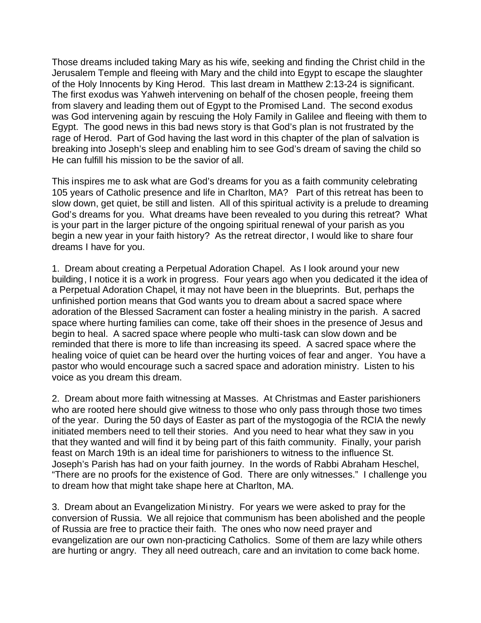Those dreams included taking Mary as his wife, seeking and finding the Christ child in the Jerusalem Temple and fleeing with Mary and the child into Egypt to escape the slaughter of the Holy Innocents by King Herod. This last dream in Matthew 2:13-24 is significant. The first exodus was Yahweh intervening on behalf of the chosen people, freeing them from slavery and leading them out of Egypt to the Promised Land. The second exodus was God intervening again by rescuing the Holy Family in Galilee and fleeing with them to Egypt. The good news in this bad news story is that God's plan is not frustrated by the rage of Herod. Part of God having the last word in this chapter of the plan of salvation is breaking into Joseph's sleep and enabling him to see God's dream of saving the child so He can fulfill his mission to be the savior of all.

This inspires me to ask what are God's dreams for you as a faith community celebrating 105 years of Catholic presence and life in Charlton, MA? Part of this retreat has been to slow down, get quiet, be still and listen. All of this spiritual activity is a prelude to dreaming God's dreams for you. What dreams have been revealed to you during this retreat? What is your part in the larger picture of the ongoing spiritual renewal of your parish as you begin a new year in your faith history? As the retreat director, I would like to share four dreams I have for you.

1. Dream about creating a Perpetual Adoration Chapel. As I look around your new building, I notice it is a work in progress. Four years ago when you dedicated it the idea of a Perpetual Adoration Chapel, it may not have been in the blueprints. But, perhaps the unfinished portion means that God wants you to dream about a sacred space where adoration of the Blessed Sacrament can foster a healing ministry in the parish. A sacred space where hurting families can come, take off their shoes in the presence of Jesus and begin to heal. A sacred space where people who multi-task can slow down and be reminded that there is more to life than increasing its speed. A sacred space where the healing voice of quiet can be heard over the hurting voices of fear and anger. You have a pastor who would encourage such a sacred space and adoration ministry. Listen to his voice as you dream this dream.

2. Dream about more faith witnessing at Masses. At Christmas and Easter parishioners who are rooted here should give witness to those who only pass through those two times of the year. During the 50 days of Easter as part of the mystogogia of the RCIA the newly initiated members need to tell their stories. And you need to hear what they saw in you that they wanted and will find it by being part of this faith community. Finally, your parish feast on March 19th is an ideal time for parishioners to witness to the influence St. Joseph's Parish has had on your faith journey. In the words of Rabbi Abraham Heschel, "There are no proofs for the existence of God. There are only witnesses." I challenge you to dream how that might take shape here at Charlton, MA.

3. Dream about an Evangelization Ministry. For years we were asked to pray for the conversion of Russia. We all rejoice that communism has been abolished and the people of Russia are free to practice their faith. The ones who now need prayer and evangelization are our own non-practicing Catholics. Some of them are lazy while others are hurting or angry. They all need outreach, care and an invitation to come back home.